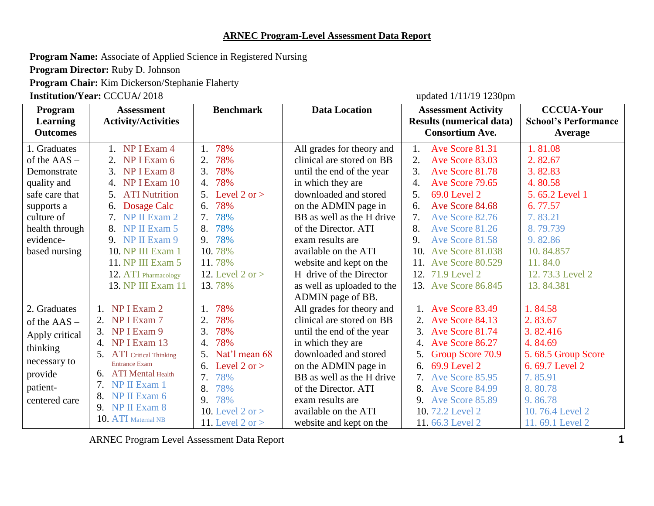## **ARNEC Program-Level Assessment Data Report**

**Program Name:** Associate of Applied Science in Registered Nursing

**Program Director:** Ruby D. Johnson

**Program Chair:** Kim Dickerson/Stephanie Flaherty

**Institution/Year:** CCCUA/ 2018 updated 1/11/19 1230pm

| Program<br>Learning<br><b>Outcomes</b>                                                                             | <b>Assessment</b><br><b>Activity/Activities</b>                                                                                                                                                                                                                      | <b>Benchmark</b>                                                                                                                                                               | <b>Data Location</b>                                                                                                                                                                                                                                                                  | <b>Assessment Activity</b><br><b>Results (numerical data)</b><br><b>Consortium Ave.</b>                                                                                                                                                                 | <b>CCCUA-Your</b><br><b>School's Performance</b><br>Average                                                                                              |
|--------------------------------------------------------------------------------------------------------------------|----------------------------------------------------------------------------------------------------------------------------------------------------------------------------------------------------------------------------------------------------------------------|--------------------------------------------------------------------------------------------------------------------------------------------------------------------------------|---------------------------------------------------------------------------------------------------------------------------------------------------------------------------------------------------------------------------------------------------------------------------------------|---------------------------------------------------------------------------------------------------------------------------------------------------------------------------------------------------------------------------------------------------------|----------------------------------------------------------------------------------------------------------------------------------------------------------|
| 1. Graduates<br>of the $\text{AAS}$ –<br>Demonstrate<br>quality and<br>safe care that<br>supports a<br>culture of  | NP I Exam 4<br>$1_{-}$<br>NP I Exam 6<br>2.<br>NP I Exam 8<br>3.<br>NP I Exam 10<br>4.<br>5. ATI Nutrition<br>Dosage Calc<br>6.<br>7. NP II Exam $2$                                                                                                                 | 78%<br>1.<br>2.<br>78%<br>3.<br>78%<br>78%<br>4.<br>5. Level $2 \text{ or } > 5$<br>78%<br>6.<br>78%<br>7.                                                                     | All grades for theory and<br>clinical are stored on BB<br>until the end of the year<br>in which they are<br>downloaded and stored<br>on the ADMIN page in<br>BB as well as the H drive                                                                                                | Ave Score 81.31<br>1.<br>Ave Score 83.03<br>2.<br>3.<br>Ave Score 81.78<br>Ave Score 79.65<br>4.<br>5 <sub>1</sub><br>69.0 Level 2<br>Ave Score 84.68<br>6.<br>7.<br>Ave Score 82.76                                                                    | 1.81.08<br>2.82.67<br>3.82.83<br>4.80.58<br>5.65.2 Level 1<br>6.77.57<br>7.83.21                                                                         |
| health through<br>evidence-<br>based nursing                                                                       | NP II Exam 5<br>8.<br>9. NP II Exam $9$<br>10. NP III Exam 1<br>11. NP III Exam 5<br>12. ATI Pharmacology<br>13. NP III Exam 11                                                                                                                                      | 78%<br>8.<br>78%<br>9.<br>10.78%<br>11.78%<br>12. Level 2 or $>$<br>13.78%                                                                                                     | of the Director. ATI<br>exam results are<br>available on the ATI<br>website and kept on the<br>H drive of the Director<br>as well as uploaded to the<br>ADMIN page of BB.                                                                                                             | 8.<br>Ave Score 81.26<br>Ave Score 81.58<br>9.<br>10. Ave Score 81.038<br>11. Ave Score 80.529<br>12. 71.9 Level 2<br>13. Ave Score 86.845                                                                                                              | 8.79.739<br>9.82.86<br>10.84.857<br>11.84.0<br>12.73.3 Level 2<br>13.84.381                                                                              |
| 2. Graduates<br>of the AAS -<br>Apply critical<br>thinking<br>necessary to<br>provide<br>patient-<br>centered care | NP I Exam 2<br>$\mathbf{1}$ .<br>NP I Exam 7<br>NP I Exam 9<br>3.<br>NP I Exam 13<br>4.<br><b>ATI</b> Critical Thinking<br><b>Entrance Exam</b><br><b>ATI</b> Mental Health<br>6.<br>NP II Exam 1<br>NP II Exam 6<br>8.<br>NP II Exam 8<br>9.<br>10. ATI Maternal NB | 78%<br>1.<br>78%<br>2.<br>3.<br>78%<br>78%<br>4.<br>Nat'l mean 68<br>Level 2 or $>$<br>6.<br>78%<br>7.<br>8.<br>78%<br>78%<br>9.<br>10. Level $2$ or $>$<br>11. Level 2 or $>$ | All grades for theory and<br>clinical are stored on BB<br>until the end of the year<br>in which they are<br>downloaded and stored<br>on the ADMIN page in<br>BB as well as the H drive<br>of the Director. ATI<br>exam results are<br>available on the ATI<br>website and kept on the | 1. Ave Score 83.49<br>2. Ave Score 84.13<br>3. Ave Score 81.74<br>4. Ave Score 86.27<br>Group Score 70.9<br>69.9 Level 2<br>6.<br><b>7.</b> Ave Score 85.95<br>8.<br>Ave Score 84.99<br><b>9.</b> Ave Score 85.89<br>10.72.2 Level 2<br>11.66.3 Level 2 | 1.84.58<br>2.83.67<br>3.82.416<br>4.84.69<br>5.68.5 Group Score<br>6.69.7 Level 2<br>7.85.91<br>8.80.78<br>9.86.78<br>10.76.4 Level 2<br>11.69.1 Level 2 |

ARNEC Program Level Assessment Data Report 1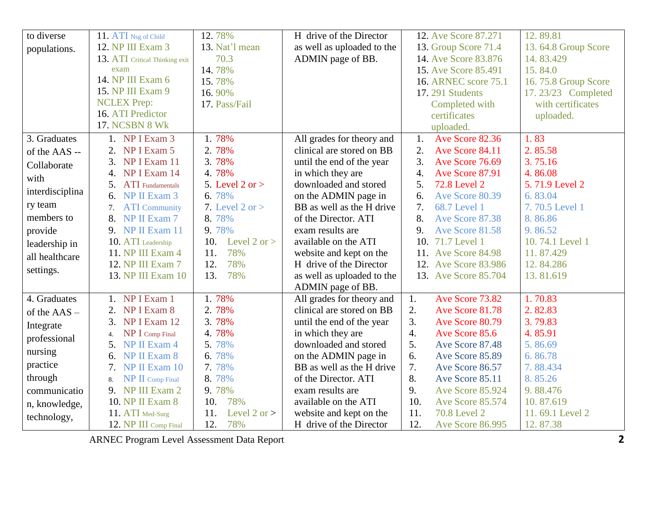| to diverse      | 11. ATI Nsg of Child           | 12.78%                | H drive of the Director    | 12. Ave Score 87.271                | 12.89.81            |
|-----------------|--------------------------------|-----------------------|----------------------------|-------------------------------------|---------------------|
| populations.    | 12. NP III Exam 3              | 13. Nat'l mean        | as well as uploaded to the | 13. Group Score 71.4                | 13.64.8 Group Score |
|                 | 13. ATI Critical Thinking exit | 70.3                  | ADMIN page of BB.          | 14. Ave Score 83.876                | 14.83.429           |
|                 | exam                           | 14.78%                |                            | 15. Ave Score 85.491                | 15.84.0             |
|                 | 14. NP III Exam 6              | 15.78%                |                            | 16. ARNEC score 75.1                | 16.75.8 Group Score |
|                 | 15. NP III Exam 9              | 16.90%                |                            | <b>17.291 Students</b>              | 17.23/23 Completed  |
|                 | <b>NCLEX Prep:</b>             | 17. Pass/Fail         |                            | Completed with                      | with certificates   |
|                 | 16. ATI Predictor              |                       |                            | certificates                        | uploaded.           |
|                 | <b>17. NCSBN 8 WK</b>          |                       |                            | uploaded.                           |                     |
| 3. Graduates    | 1. NP I Exam 3                 | 1.78%                 | All grades for theory and  | Ave Score 82.36<br>1.               | 1.83                |
| of the AAS --   | NP I Exam 5<br>2.              | 2.78%                 | clinical are stored on BB  | 2.<br>Ave Score 84.11               | 2.85.58             |
| Collaborate     | NP I Exam 11<br>3.             | 3.78%                 | until the end of the year  | 3.<br>Ave Score 76.69               | 3.75.16             |
| with            | NP I Exam 14<br>4.             | 4.78%                 | in which they are          | 4.<br>Ave Score 87.91               | 4.86.08             |
|                 | <b>ATI</b> Fundamentals<br>5.  | 5. Level $2$ or $>$   | downloaded and stored      | 5.<br>72.8 Level 2                  | 5.71.9 Level 2      |
| interdisciplina | 6. NP II Exam $3$              | 6.78%                 | on the ADMIN page in       | Ave Score 80.39<br>б.               | 6.83.04             |
| ry team         | <b>ATI</b> Community<br>7.     | 7. Level $2$ or $>$   | BB as well as the H drive  | 7.<br>68.7 Level 1                  | 7.70.5 Level 1      |
| members to      | 8.<br>NP II Exam 7             | 8.78%                 | of the Director. ATI       | 8.<br>Ave Score 87.38               | 8.86.86             |
| provide         | 9. NP II Exam 11               | 9.78%                 | exam results are           | 9.<br>Ave Score 81.58               | 9.86.52             |
| leadership in   | 10. ATI Leadership             | Level 2 or $>$<br>10. | available on the ATI       | 10. 71.7 Level 1                    | 10.74.1 Level 1     |
| all healthcare  | 11. NP III Exam 4              | 11.<br>78%            | website and kept on the    | 11. Ave Score 84.98                 | 11.87.429           |
| settings.       | 12. NP III Exam 7              | 12.<br>78%            | H drive of the Director    | 12. Ave Score 83.986                | 12.84.286           |
|                 | 13. NP III Exam 10             | 13.<br>78%            | as well as uploaded to the | 13. Ave Score 85.704                | 13.81.619           |
|                 |                                |                       | ADMIN page of BB.          |                                     |                     |
| 4. Graduates    | 1. NP I Exam 1                 | 1.78%                 | All grades for theory and  | Ave Score 73.82<br>1.               | 1.70.83             |
| of the $AAS -$  | NP I Exam 8<br>2.              | 2.78%                 | clinical are stored on BB  | 2.<br>Ave Score 81.78               | 2.82.83             |
| Integrate       | NP I Exam 12<br>3.             | 3.78%                 | until the end of the year  | $\overline{3}$ .<br>Ave Score 80.79 | 3.79.83             |
| professional    | NP I Comp Final<br>4.          | 4.78%                 | in which they are          | $\overline{4}$ .<br>Ave Score 85.6  | 4.85.91             |
|                 | NP II Exam 4<br>5.             | 5.78%                 | downloaded and stored      | 5.<br>Ave Score 87.48               | 5.86.69             |
| nursing         | NP II Exam 8<br>6.             | 6.78%                 | on the ADMIN page in       | 6.<br>Ave Score 85.89               | 6.86.78             |
| practice        | NP II Exam 10<br>7.            | 7.78%                 | BB as well as the H drive  | 7.<br>Ave Score 86.57               | 7.88.434            |
| through         | NP II Comp Final<br>8.         | 8.78%                 | of the Director. ATI       | 8.<br>Ave Score 85.11               | 8.85.26             |
| communicatio    | 9. NP III Exam 2               | 9.78%                 | exam results are           | 9.<br>Ave Score 85.924              | 9.88.476            |
| n, knowledge,   | 10. NP II Exam 8               | 10.<br>78%            | available on the ATI       | 10.<br>Ave Score 85.574             | 10.87.619           |
| technology,     | 11. ATI Med-Surg               | 11.<br>Level 2 or $>$ | website and kept on the    | 11.<br><b>70.8 Level 2</b>          | 11.69.1 Level 2     |
|                 | 12. NP III Comp Final          | 12.<br>78%            | H drive of the Director    | 12.<br><b>Ave Score 86.995</b>      | 12.87.38            |

ARNEC Program Level Assessment Data Report **2**